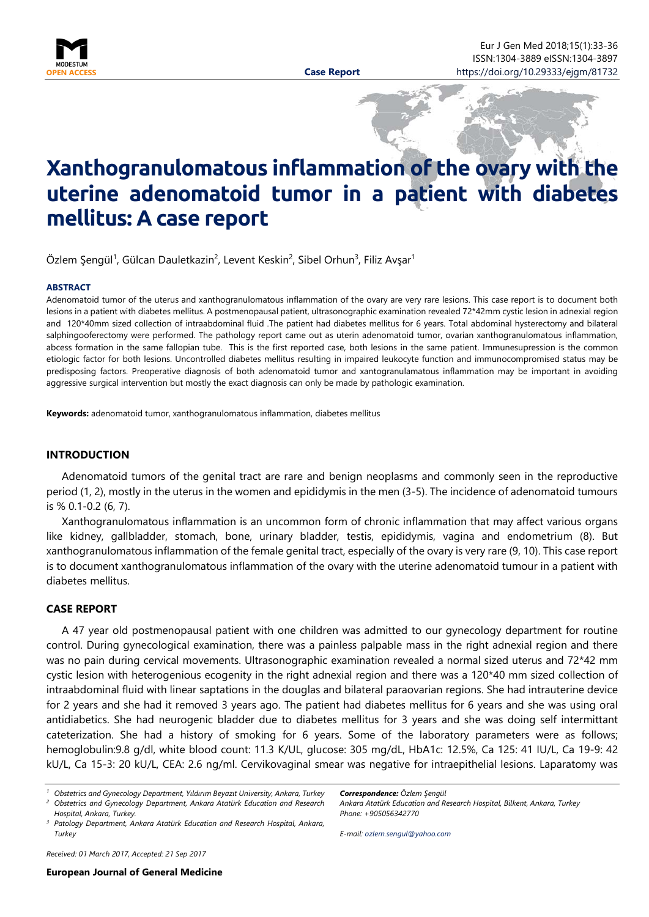

# **Xanthogranulomatous inflammation of the ovary with the uterine adenomatoid tumor in a patient with diabetes mellitus: A case report**

Özlem Şengül<sup>1</sup>, Gülcan Dauletkazin<sup>2</sup>, Levent Keskin<sup>2</sup>, Sibel Orhun<sup>3</sup>, Filiz Avşar<sup>1</sup>

#### <span id="page-0-0"></span>**ABSTRACT**

Adenomatoid tumor of the uterus and xanthogranulomatous inflammation of the ovary are very rare lesions. This case report is to document both lesions in a patient with diabetes mellitus. A postmenopausal patient, ultrasonographic examination revealed 72\*42mm cystic lesion in adnexial region and 120\*40mm sized collection of intraabdominal fluid .The patient had diabetes mellitus for 6 years. Total abdominal hysterectomy and bilateral salphingooferectomy were performed. The pathology report came out as uterin adenomatoid tumor, ovarian xanthogranulomatous inflammation, abcess formation in the same fallopian tube. This is the first reported case, both lesions in the same patient. Immunesupression is the common etiologic factor for both lesions. Uncontrolled diabetes mellitus resulting in impaired leukocyte function and immunocompromised status may be predisposing factors. Preoperative diagnosis of both adenomatoid tumor and xantogranulamatous inflammation may be important in avoiding aggressive surgical intervention but mostly the exact diagnosis can only be made by pathologic examination.

**Keywords:** adenomatoid tumor, xanthogranulomatous inflammation, diabetes mellitus

## **INTRODUCTION**

Adenomatoid tumors of the genital tract are rare and benign neoplasms and commonly seen in the reproductive period (1, 2), mostly in the uterus in the women and epididymis in the men (3-5). The incidence of adenomatoid tumours is % 0.1-0.2 (6, 7).

Xanthogranulomatous inflammation is an uncommon form of chronic inflammation that may affect various organs like kidney, gallbladder, stomach, bone, urinary bladder, testis, epididymis, vagina and endometrium (8). But xanthogranulomatous inflammation of the female genital tract, especially of the ovary is very rare (9, 10). This case report is to document xanthogranulomatous inflammation of the ovary with the uterine adenomatoid tumour in a patient with diabetes mellitus.

### **CASE REPORT**

A 47 year old postmenopausal patient with one children was admitted to our gynecology department for routine control. During gynecological examination, there was a painless palpable mass in the right adnexial region and there was no pain during cervical movements. Ultrasonographic examination revealed a normal sized uterus and 72\*42 mm cystic lesion with heterogenious ecogenity in the right adnexial region and there was a 120\*40 mm sized collection of intraabdominal fluid with linear saptations in the douglas and bilateral paraovarian regions. She had intrauterine device for 2 years and she had it removed 3 years ago. The patient had diabetes mellitus for 6 years and she was using oral antidiabetics. She had neurogenic bladder due to diabetes mellitus for 3 years and she was doing self intermittant cateterization. She had a history of smoking for 6 years. Some of the laboratory parameters were as follows; hemoglobulin:9.8 g/dl, white blood count: 11.3 K/UL, glucose: 305 mg/dL, HbA1c: 12.5%, Ca 125: 41 IU/L, Ca 19-9: 42 kU/L, Ca 15-3: 20 kU/L, CEA: 2.6 ng/ml. Cervikovaginal smear was negative for intraepithelial lesions. Laparatomy was

*Received: 01 March 2017, Accepted: 21 Sep 2017*

*Correspondence: Özlem Şengül Ankara Atatürk Education and Research Hospital, Bilkent, Ankara, Turkey Phone: +905056342770*

*E-mail: ozlem.sengul@yahoo.com*

*<sup>1</sup> Obstetrics and Gynecology Department, Yıldırım Beyazıt University, Ankara, Turkey*

*<sup>2</sup> Obstetrics and Gynecology Department, Ankara Atatürk Education and Research Hospital, Ankara, Turkey.*

*<sup>3</sup> Patology Department, Ankara Atatürk Education and Research Hospital, Ankara, Turkey*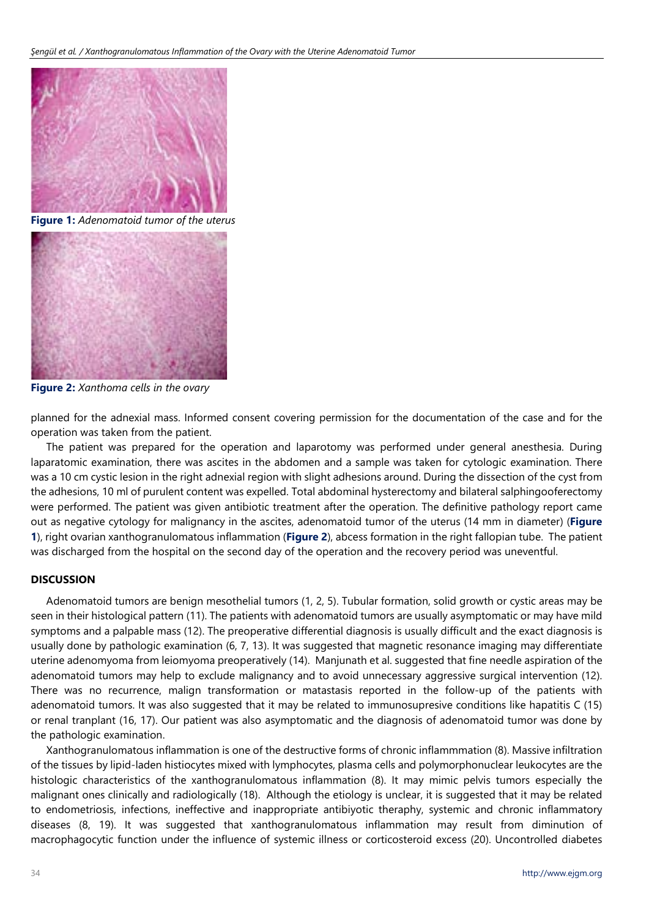

**Figure 1:** *Adenomatoid tumor of the uterus*



**Figure 2:** *Xanthoma cells in the ovary*

planned for the adnexial mass. Informed consent covering permission for the documentation of the case and for the operation was taken from the patient.

The patient was prepared for the operation and laparotomy was performed under general anesthesia. During laparatomic examination, there was ascites in the abdomen and a sample was taken for cytologic examination. There was a 10 cm cystic lesion in the right adnexial region with slight adhesions around. During the dissection of the cyst from the adhesions, 10 ml of purulent content was expelled. Total abdominal hysterectomy and bilateral salphingooferectomy were performed. The patient was given antibiotic treatment after the operation. The definitive pathology report came out as negative cytology for malignancy in the ascites, adenomatoid tumor of the uterus (14 mm in diameter) (**Figure 1**), right ovarian xanthogranulomatous inflammation (**Figure 2**), abcess formation in the right fallopian tube. The patient was discharged from the hospital on the second day of the operation and the recovery period was uneventful.

## **DISCUSSION**

Adenomatoid tumors are benign mesothelial tumors (1, 2, 5). Tubular formation, solid growth or cystic areas may be seen in their histological pattern (11). The patients with adenomatoid tumors are usually asymptomatic or may have mild symptoms and a palpable mass (12). The preoperative differential diagnosis is usually difficult and the exact diagnosis is usually done by pathologic examination (6, 7, 13). It was suggested that magnetic resonance imaging may differentiate uterine adenomyoma from leiomyoma preoperatively (14). Manjunath et al. suggested that fine needle aspiration of the adenomatoid tumors may help to exclude malignancy and to avoid unnecessary aggressive surgical intervention (12). There was no recurrence, malign transformation or matastasis reported in the follow-up of the patients with adenomatoid tumors. It was also suggested that it may be related to immunosupresive conditions like hapatitis C (15) or renal tranplant (16, 17). Our patient was also asymptomatic and the diagnosis of adenomatoid tumor was done by the pathologic examination.

Xanthogranulomatous inflammation is one of the destructive forms of chronic inflammmation (8). Massive infiltration of the tissues by lipid-laden histiocytes mixed with lymphocytes, plasma cells and polymorphonuclear leukocytes are the histologic characteristics of the xanthogranulomatous inflammation (8). It may mimic pelvis tumors especially the malignant ones clinically and radiologically (18). Although the etiology is unclear, it is suggested that it may be related to endometriosis, infections, ineffective and inappropriate antibiyotic theraphy, systemic and chronic inflammatory diseases (8, 19). It was suggested that xanthogranulomatous inflammation may result from diminution of macrophagocytic function under the influence of systemic illness or corticosteroid excess (20). Uncontrolled diabetes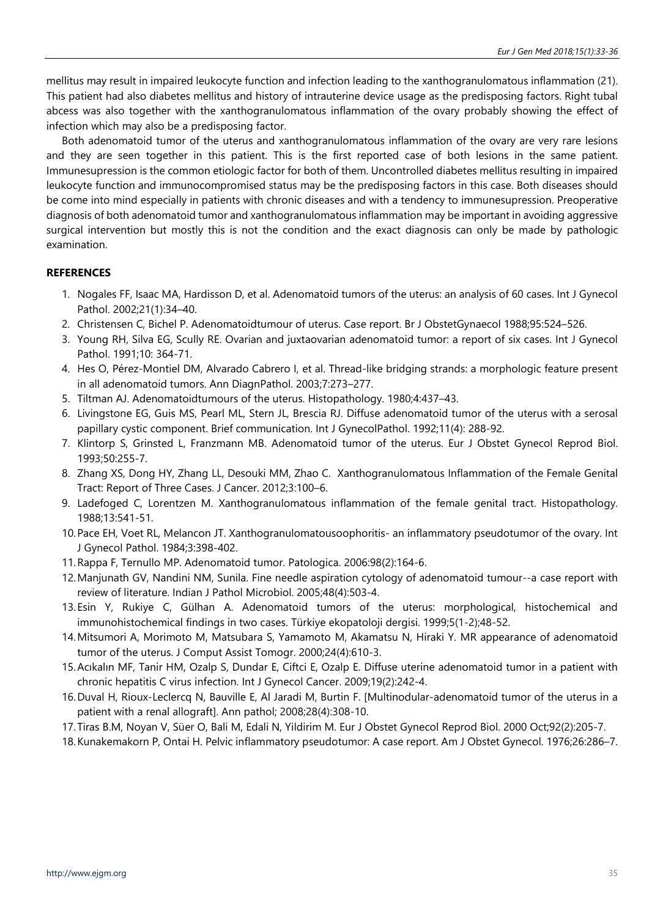mellitus may result in impaired leukocyte function and infection leading to the xanthogranulomatous inflammation (21). This patient had also diabetes mellitus and history of intrauterine device usage as the predisposing factors. Right tubal abcess was also together with the xanthogranulomatous inflammation of the ovary probably showing the effect of infection which may also be a predisposing factor.

Both adenomatoid tumor of the uterus and xanthogranulomatous inflammation of the ovary are very rare lesions and they are seen together in this patient. This is the first reported case of both lesions in the same patient. Immunesupression is the common etiologic factor for both of them. Uncontrolled diabetes mellitus resulting in impaired leukocyte function and immunocompromised status may be the predisposing factors in this case. Both diseases should be come into mind especially in patients with chronic diseases and with a tendency to immunesupression. Preoperative diagnosis of both adenomatoid tumor and xanthogranulomatous inflammation may be important in avoiding aggressive surgical intervention but mostly this is not the condition and the exact diagnosis can only be made by pathologic examination.

# **REFERENCES**

- 1. Nogales FF, Isaac MA, Hardisson D, et al. Adenomatoid tumors of the uterus: an analysis of 60 cases. Int J Gynecol Pathol. 2002;21(1):34–40.
- 2. Christensen C, Bichel P. Adenomatoidtumour of uterus. Case report. Br J ObstetGynaecol 1988;95:524–526.
- 3. Young RH, Silva EG, Scully RE. Ovarian and juxtaovarian adenomatoid tumor: a report of six cases. Int J Gynecol Pathol. 1991;10: 364-71.
- 4. Hes O, Pérez-Montiel DM, Alvarado Cabrero I, et al. Thread-like bridging strands: a morphologic feature present in all adenomatoid tumors. Ann DiagnPathol. 2003;7:273–277.
- 5. Tiltman AJ. Adenomatoidtumours of the uterus. Histopathology. 1980;4:437–43.
- 6. Livingstone EG, Guis MS, Pearl ML, Stern JL, Brescia RJ. Diffuse adenomatoid tumor of the uterus with a serosal papillary cystic component. Brief communication. Int J GynecolPathol. 1992;11(4): 288-92.
- 7. Klintorp S, Grinsted L, Franzmann MB. Adenomatoid tumor of the uterus. Eur J Obstet Gynecol Reprod Biol. 1993;50:255-7.
- 8. Zhang XS, Dong HY, Zhang LL, Desouki MM, Zhao C. Xanthogranulomatous Inflammation of the Female Genital Tract: Report of Three Cases. J Cancer. 2012;3:100–6.
- 9. Ladefoged C, Lorentzen M. Xanthogranulomatous inflammation of the female genital tract. Histopathology. 1988;13:541-51.
- 10.Pace EH, Voet RL, Melancon JT. Xanthogranulomatousoophoritis- an inflammatory pseudotumor of the ovary. Int J Gynecol Pathol. 1984;3:398-402.
- 11.Rappa F, Ternullo MP. Adenomatoid tumor. Patologica. 2006:98(2):164-6.
- 12.Manjunath GV, Nandini NM, Sunila. Fine needle aspiration cytology of adenomatoid tumour--a case report with review of literature. Indian J Pathol Microbiol. 2005;48(4):503-4.
- 13.Esin Y, Rukiye C, Gülhan A. Adenomatoid tumors of the uterus: morphological, histochemical and immunohistochemical findings in two cases. Türkiye ekopatoloji dergisi. 1999;5(1-2);48-52.
- 14.Mitsumori A, Morimoto M, Matsubara S, Yamamoto M, Akamatsu N, Hiraki Y. MR appearance of adenomatoid tumor of the uterus. J Comput Assist Tomogr. 2000;24(4):610-3.
- 15.Acıkalın MF, Tanir HM, Ozalp S, Dundar E, Ciftci E, Ozalp E. Diffuse uterine adenomatoid tumor in a patient with chronic hepatitis C virus infection. Int J Gynecol Cancer. 2009;19(2):242-4.
- 16.Duval H, Rioux-Leclercq N, Bauville E, Al Jaradi M, Burtin F. [Multinodular-adenomatoid tumor of the uterus in a patient with a renal allograft]. Ann pathol; 2008;28(4):308-10.
- 17.Tiras B.M, Noyan V, Süer O, Bali M, Edali N, Yildirim M. Eur J Obstet Gynecol Reprod Biol. 2000 Oct;92(2):205-7.
- 18.Kunakemakorn P, Ontai H. Pelvic inflammatory pseudotumor: A case report. Am J Obstet Gynecol. 1976;26:286–7.